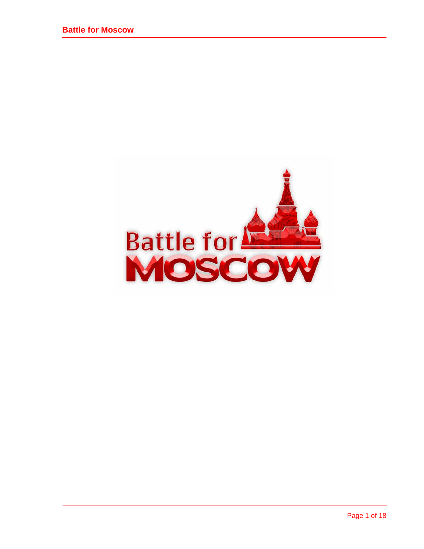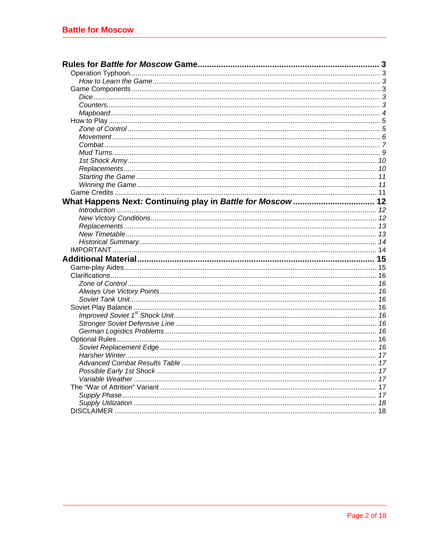| What Happens Next: Continuing play in Battle for Moscow 12 |  |
|------------------------------------------------------------|--|
|                                                            |  |
|                                                            |  |
|                                                            |  |
|                                                            |  |
|                                                            |  |
|                                                            |  |
|                                                            |  |
|                                                            |  |
|                                                            |  |
|                                                            |  |
|                                                            |  |
|                                                            |  |
|                                                            |  |
|                                                            |  |
|                                                            |  |
|                                                            |  |
|                                                            |  |
|                                                            |  |
|                                                            |  |
|                                                            |  |
|                                                            |  |
|                                                            |  |
|                                                            |  |
|                                                            |  |
|                                                            |  |
|                                                            |  |
|                                                            |  |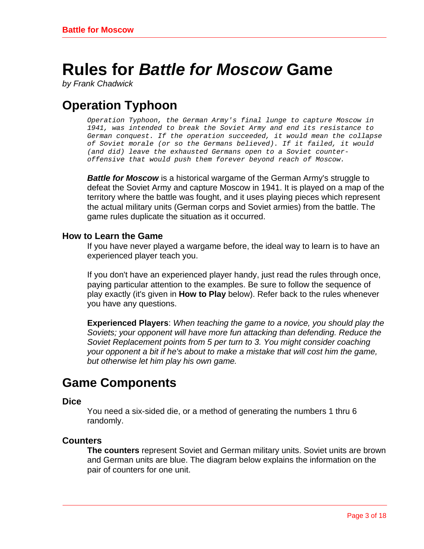# <span id="page-2-0"></span>**Rules for** *Battle for Moscow* **Game**

*by Frank Chadwick* 

# **Operation Typhoon**

*Operation Typhoon, the German Army's final lunge to capture Moscow in 1941, was intended to break the Soviet Army and end its resistance to German conquest. If the operation succeeded, it would mean the collapse of Soviet morale (or so the Germans believed). If it failed, it would (and did) leave the exhausted Germans open to a Soviet counteroffensive that would push them forever beyond reach of Moscow.* 

*Battle for Moscow* is a historical wargame of the German Army's struggle to defeat the Soviet Army and capture Moscow in 1941. It is played on a map of the territory where the battle was fought, and it uses playing pieces which represent the actual military units (German corps and Soviet armies) from the battle. The game rules duplicate the situation as it occurred.

### **How to Learn the Game**

If you have never played a wargame before, the ideal way to learn is to have an experienced player teach you.

If you don't have an experienced player handy, just read the rules through once, paying particular attention to the examples. Be sure to follow the sequence of play exactly (it's given in **How to Play** below). Refer back to the rules whenever you have any questions.

**Experienced Players**: *When teaching the game to a novice, you should play the Soviets; your opponent will have more fun attacking than defending. Reduce the Soviet Replacement points from 5 per turn to 3. You might consider coaching your opponent a bit if he's about to make a mistake that will cost him the game, but otherwise let him play his own game.* 

### **Game Components**

### **Dice**

You need a six-sided die, or a method of generating the numbers 1 thru 6 randomly.

### **Counters**

**The counters** represent Soviet and German military units. Soviet units are brown and German units are blue. The diagram below explains the information on the pair of counters for one unit.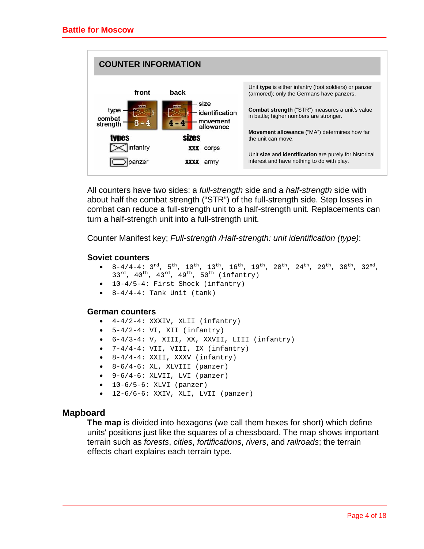<span id="page-3-0"></span>

All counters have two sides: a *full-strength* side and a *half-strength* side with about half the combat strength ("STR") of the full-strength side. Step losses in combat can reduce a full-strength unit to a half-strength unit. Replacements can turn a half-strength unit into a full-strength unit.

Counter Manifest key; *Full-strength /Half-strength: unit identification (type)*:

### **Soviet counters**

- $8-4/4-4$ :  $3^{rd}$ ,  $5^{th}$ ,  $10^{th}$ ,  $13^{th}$ ,  $16^{th}$ ,  $19^{th}$ ,  $20^{th}$ ,  $24^{th}$ ,  $29^{th}$ ,  $30^{th}$ ,  $32^{nd}$ ,  $33^{rd}$ ,  $40^{th}$ ,  $43^{rd}$ ,  $49^{th}$ ,  $50^{th}$  (infantry)
- 10-4/5-4: First Shock (infantry)
- $8-4/4-4$ : Tank Unit (tank)

#### **German counters**

- $\bullet$  4-4/2-4: XXXIV, XLII (infantry)
- $\bullet$  5-4/2-4: VI, XII (infantry)
- 6-4/3-4: V, XIII, XX, XXVII, LIII (infantry)
- 7-4/4-4: VII, VIII, IX (infantry)
- 8-4/4-4: XXII, XXXV (infantry)
- $8-6/4-6$ : XL, XLVIII (panzer)
- 9-6/4-6: XLVII, LVI (panzer)
- 10-6/5-6: XLVI (panzer)
- 12-6/6-6: XXIV, XLI, LVII (panzer)

### **Mapboard**

**The map** is divided into hexagons (we call them hexes for short) which define units' positions just like the squares of a chessboard. The map shows important terrain such as *forests*, *cities*, *fortifications*, *rivers*, and *railroads*; the terrain effects chart explains each terrain type.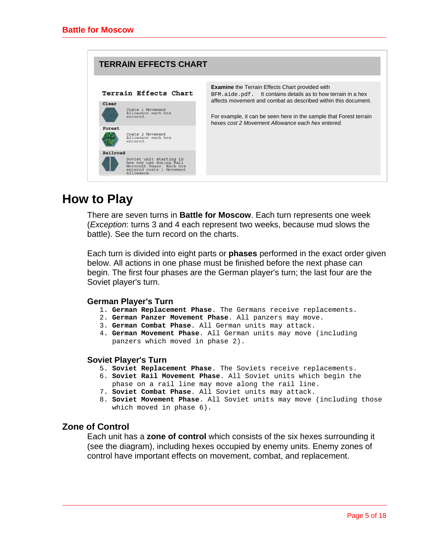<span id="page-4-0"></span>

| <b>TERRAIN EFFECTS CHART</b>                                                                                                         |                                                                                                                                                                                           |
|--------------------------------------------------------------------------------------------------------------------------------------|-------------------------------------------------------------------------------------------------------------------------------------------------------------------------------------------|
| Terrain Effects Chart                                                                                                                | <b>Examine</b> the Terrain Effects Chart provided with<br>BFM.aide.pdf. It contains details as to how terrain in a hex                                                                    |
| Clear<br>Costs 1 Movement<br>Allowance each hex<br>entered.                                                                          | affects movement and combat as described within this document.<br>For example, it can be seen here in the sample that Forest terrain<br>hexes cost 2 Movement Allowance each hex entered. |
| Forest<br>Costs 2 Movement<br>Allowance each hex<br>entered.                                                                         |                                                                                                                                                                                           |
| Railroad<br>Soviet unit starting in<br>hex may use during Rail<br>Movement Phase. Each hex<br>entered costs 1 Movement<br>Allowance. |                                                                                                                                                                                           |

### **How to Play**

There are seven turns in **Battle for Moscow**. Each turn represents one week (*Exception*: turns 3 and 4 each represent two weeks, because mud slows the battle). See the turn record on the charts.

Each turn is divided into eight parts or **phases** performed in the exact order given below. All actions in one phase must be finished before the next phase can begin. The first four phases are the German player's turn; the last four are the Soviet player's turn.

### **German Player's Turn**

- 1. **German Replacement Phase**. The Germans receive replacements.
- 2. **German Panzer Movement Phase**. All panzers may move.
- 3. **German Combat Phase**. All German units may attack.
- 4. **German Movement Phase**. All German units may move (including panzers which moved in phase 2).

### **Soviet Player's Turn**

- 5. **Soviet Replacement Phase**. The Soviets receive replacements.
- 6. **Soviet Rail Movement Phase**. All Soviet units which begin the phase on a rail line may move along the rail line.
- 7. **Soviet Combat Phase**. All Soviet units may attack.
- 8. **Soviet Movement Phase**. All Soviet units may move (including those which moved in phase  $6$ ).

### **Zone of Control**

Each unit has a **zone of control** which consists of the six hexes surrounding it (see the diagram), including hexes occupied by enemy units. Enemy zones of control have important effects on movement, combat, and replacement.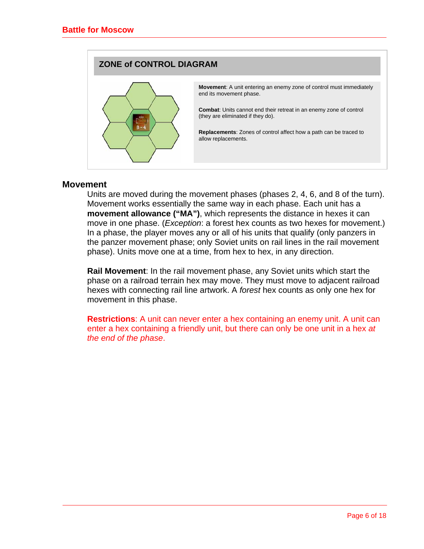<span id="page-5-0"></span>

### **Movement**

Units are moved during the movement phases (phases 2, 4, 6, and 8 of the turn). Movement works essentially the same way in each phase. Each unit has a **movement allowance ("MA")**, which represents the distance in hexes it can move in one phase. (*Exception*: a forest hex counts as two hexes for movement.) In a phase, the player moves any or all of his units that qualify (only panzers in the panzer movement phase; only Soviet units on rail lines in the rail movement phase). Units move one at a time, from hex to hex, in any direction.

**Rail Movement**: In the rail movement phase, any Soviet units which start the phase on a railroad terrain hex may move. They must move to adjacent railroad hexes with connecting rail line artwork. A *forest* hex counts as only one hex for movement in this phase.

**Restrictions**: A unit can never enter a hex containing an enemy unit. A unit can enter a hex containing a friendly unit, but there can only be one unit in a hex *at the end of the phase*.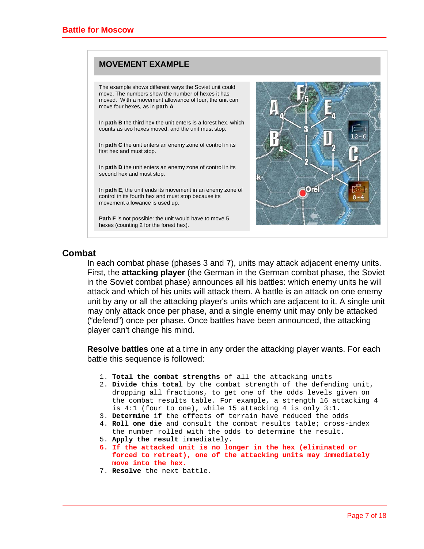### <span id="page-6-0"></span>**MOVEMENT EXAMPLE**

The example shows different ways the Soviet unit could move. The numbers show the number of hexes it has moved. With a movement allowance of four, the unit can move four hexes, as in **path A**.

In **path B** the third hex the unit enters is a forest hex, which counts as two hexes moved, and the unit must stop.

In **path C** the unit enters an enemy zone of control in its first hex and must stop.

In **path D** the unit enters an enemy zone of control in its second hex and must stop.

In **path E**, the unit ends its movement in an enemy zone of control in its fourth hex and must stop because its movement allowance is used up.

**Path F** is not possible: the unit would have to move 5 hexes (counting 2 for the forest hex).



### **Combat**

In each combat phase (phases 3 and 7), units may attack adjacent enemy units. First, the **attacking player** (the German in the German combat phase, the Soviet in the Soviet combat phase) announces all his battles: which enemy units he will attack and which of his units will attack them. A battle is an attack on one enemy unit by any or all the attacking player's units which are adjacent to it. A single unit may only attack once per phase, and a single enemy unit may only be attacked ("defend") once per phase. Once battles have been announced, the attacking player can't change his mind.

**Resolve battles** one at a time in any order the attacking player wants. For each battle this sequence is followed:

- 1. **Total the combat strengths** of all the attacking units
- 2. **Divide this total** by the combat strength of the defending unit, dropping all fractions, to get one of the odds levels given on the combat results table. For example, a strength 16 attacking 4 is 4:1 (four to one), while 15 attacking 4 is only 3:1.
- 3. **Determine** if the effects of terrain have reduced the odds
- 4. **Roll one die** and consult the combat results table; cross-index the number rolled with the odds to determine the result.
- 5. **Apply the result** immediately.
- **6. If the attacked unit is no longer in the hex (eliminated or forced to retreat), one of the attacking units may immediately move into the hex.**
- 7. **Resolve** the next battle.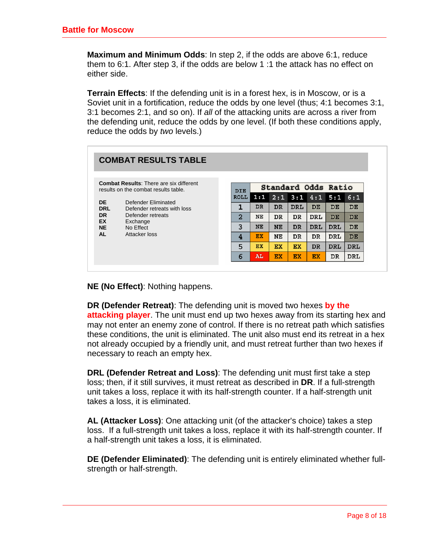**Maximum and Minimum Odds**: In step 2, if the odds are above 6:1, reduce them to 6:1. After step 3, if the odds are below 1 :1 the attack has no effect on either side.

**Terrain Effects**: If the defending unit is in a forest hex, is in Moscow, or is a Soviet unit in a fortification, reduce the odds by one level (thus; 4:1 becomes 3:1, 3:1 becomes 2:1, and so on). If *all* of the attacking units are across a river from the defending unit, reduce the odds by one level. (If both these conditions apply, reduce the odds by *two* levels.)

|                                                                                        | <b>COMBAT RESULTS TABLE</b>                                                                      |                |           |           |            |                     |            |            |
|----------------------------------------------------------------------------------------|--------------------------------------------------------------------------------------------------|----------------|-----------|-----------|------------|---------------------|------------|------------|
| <b>Combat Results: There are six different</b><br>results on the combat results table. |                                                                                                  | <b>DIE</b>     |           |           |            | Standard Odds Ratio |            |            |
| <b>DE</b>                                                                              | Defender Eliminated<br>Defender retreats with loss<br>Defender retreats<br>Exchange<br>No Effect | <b>ROLL</b>    | 1:1       | 2:1       | 3:1        |                     | $4:1$ 5:1  | 6:1        |
| <b>DRL</b>                                                                             |                                                                                                  | 1              | <b>DR</b> | <b>DR</b> | <b>DRL</b> | DE.                 | DE         | <b>DE</b>  |
| <b>DR</b><br><b>EX</b>                                                                 |                                                                                                  | $\overline{2}$ | <b>NE</b> | <b>DR</b> | <b>DR</b>  | <b>DRL</b>          | <b>DE</b>  | <b>DE</b>  |
| <b>NE</b>                                                                              |                                                                                                  | 3              | <b>NE</b> | NE        | <b>DR</b>  | <b>DRL</b>          | <b>DRL</b> | <b>DE</b>  |
| <b>AL</b><br>Attacker loss                                                             | 4                                                                                                | EX             | NΕ        | <b>DR</b> | <b>DR</b>  | <b>DRL</b>          | <b>DE</b>  |            |
|                                                                                        |                                                                                                  | 5              | EX        | EX        | EX         | <b>DR</b>           | <b>DRL</b> | <b>DRL</b> |
|                                                                                        |                                                                                                  | 6              | AL        | EX        | <b>EX</b>  | <b>EX</b>           | <b>DR</b>  | <b>DRL</b> |

**NE (No Effect)**: Nothing happens.

**DR (Defender Retreat)**: The defending unit is moved two hexes **by the attacking player**. The unit must end up two hexes away from its starting hex and may not enter an enemy zone of control. If there is no retreat path which satisfies these conditions, the unit is eliminated. The unit also must end its retreat in a hex not already occupied by a friendly unit, and must retreat further than two hexes if necessary to reach an empty hex.

**DRL (Defender Retreat and Loss)**: The defending unit must first take a step loss; then, if it still survives, it must retreat as described in **DR**. If a full-strength unit takes a loss, replace it with its half-strength counter. If a half-strength unit takes a loss, it is eliminated.

**AL (Attacker Loss)**: One attacking unit (of the attacker's choice) takes a step loss. If a full-strength unit takes a loss, replace it with its half-strength counter. If a half-strength unit takes a loss, it is eliminated.

**DE (Defender Eliminated)**: The defending unit is entirely eliminated whether fullstrength or half-strength.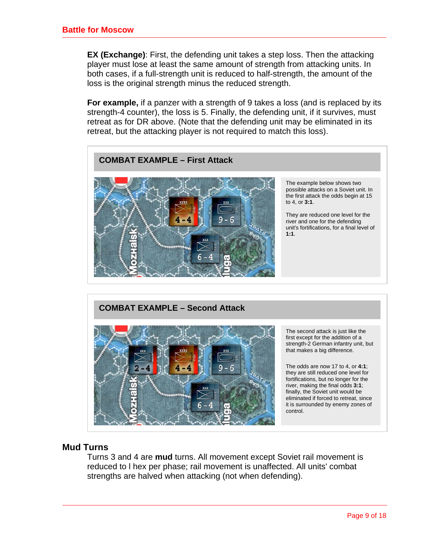<span id="page-8-0"></span>**EX (Exchange)**: First, the defending unit takes a step loss. Then the attacking player must lose at least the same amount of strength from attacking units. In both cases, if a full-strength unit is reduced to half-strength, the amount of the loss is the original strength minus the reduced strength.

**For example,** if a panzer with a strength of 9 takes a loss (and is replaced by its strength-4 counter), the loss is 5. Finally, the defending unit, if it survives, must retreat as for DR above. (Note that the defending unit may be eliminated in its retreat, but the attacking player is not required to match this loss).



### **COMBAT EXAMPLE – Second Attack**



The second attack is just like the first except for the addition of a strength-2 German infantry unit, but that makes a big difference.

The odds are now 17 to 4, or **4:1**; they are still reduced one level for fortifications, but no longer for the river, making the final odds **3:1**; finally, the Soviet unit would be eliminated if forced to retreat, since it is surrounded by enemy zones of control.

### **Mud Turns**

Turns 3 and 4 are **mud** turns. All movement except Soviet rail movement is reduced to l hex per phase; rail movement is unaffected. All units' combat strengths are halved when attacking (not when defending).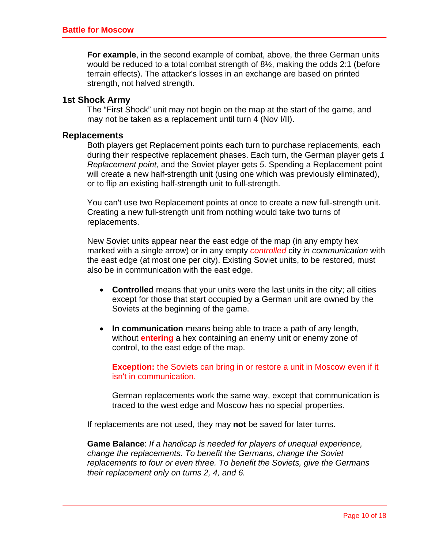<span id="page-9-0"></span>**For example**, in the second example of combat, above, the three German units would be reduced to a total combat strength of 8½, making the odds 2:1 (before terrain effects). The attacker's losses in an exchange are based on printed strength, not halved strength.

### **1st Shock Army**

The "First Shock" unit may not begin on the map at the start of the game, and may not be taken as a replacement until turn 4 (Nov I/II).

#### **Replacements**

Both players get Replacement points each turn to purchase replacements, each during their respective replacement phases. Each turn, the German player gets *1 Replacement point*, and the Soviet player gets *5*. Spending a Replacement point will create a new half-strength unit (using one which was previously eliminated), or to flip an existing half-strength unit to full-strength.

You can't use two Replacement points at once to create a new full-strength unit. Creating a new full-strength unit from nothing would take two turns of replacements.

New Soviet units appear near the east edge of the map (in any empty hex marked with a single arrow) or in any empty *controlled* city *in communication* with the east edge (at most one per city). Existing Soviet units, to be restored, must also be in communication with the east edge.

- **Controlled** means that your units were the last units in the city; all cities except for those that start occupied by a German unit are owned by the Soviets at the beginning of the game.
- **In communication** means being able to trace a path of any length, without **entering** a hex containing an enemy unit or enemy zone of control, to the east edge of the map.

**Exception:** the Soviets can bring in or restore a unit in Moscow even if it isn't in communication.

German replacements work the same way, except that communication is traced to the west edge and Moscow has no special properties.

If replacements are not used, they may **not** be saved for later turns.

**Game Balance**: *If a handicap is needed for players of unequal experience, change the replacements. To benefit the Germans, change the Soviet replacements to four or even three. To benefit the Soviets, give the Germans their replacement only on turns 2, 4, and 6.*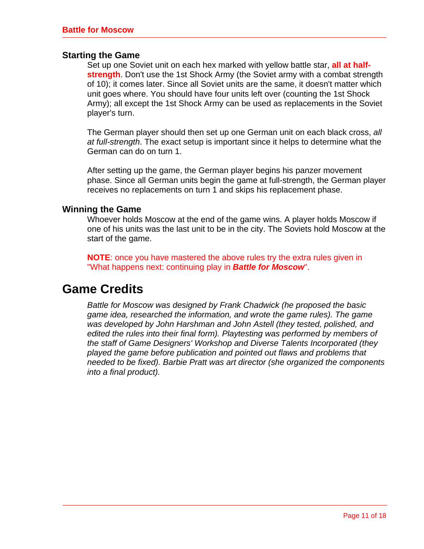### <span id="page-10-0"></span>**Starting the Game**

Set up one Soviet unit on each hex marked with yellow battle star, **all at halfstrength**. Don't use the 1st Shock Army (the Soviet army with a combat strength of 10); it comes later. Since all Soviet units are the same, it doesn't matter which unit goes where. You should have four units left over (counting the 1st Shock Army); all except the 1st Shock Army can be used as replacements in the Soviet player's turn.

The German player should then set up one German unit on each black cross, *all at full-strength*. The exact setup is important since it helps to determine what the German can do on turn 1.

After setting up the game, the German player begins his panzer movement phase. Since all German units begin the game at full-strength, the German player receives no replacements on turn 1 and skips his replacement phase.

### **Winning the Game**

Whoever holds Moscow at the end of the game wins. A player holds Moscow if one of his units was the last unit to be in the city. The Soviets hold Moscow at the start of the game.

**NOTE**: once you have mastered the above rules try the extra rules given in "What happens next: continuing play in *Battle for Moscow*".

### **Game Credits**

*Battle for Moscow was designed by Frank Chadwick (he proposed the basic game idea, researched the information, and wrote the game rules). The game was developed by John Harshman and John Astell (they tested, polished, and edited the rules into their final form). Playtesting was performed by members of the staff of Game Designers' Workshop and Diverse Talents Incorporated (they played the game before publication and pointed out flaws and problems that needed to be fixed). Barbie Pratt was art director (she organized the components into a final product).*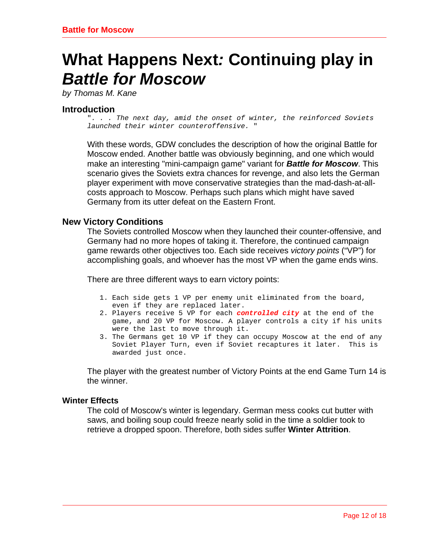# <span id="page-11-0"></span>**What Happens Next***:* **Continuing play in**  *Battle for Moscow*

*by Thomas M. Kane* 

### **Introduction**

"*. . . The next day, amid the onset of winter, the reinforced Soviets launched their winter counteroffensive.* "

With these words, GDW concludes the description of how the original Battle for Moscow ended. Another battle was obviously beginning, and one which would make an interesting "mini-campaign game" variant for *Battle for Moscow*. This scenario gives the Soviets extra chances for revenge, and also lets the German player experiment with move conservative strategies than the mad-dash-at-allcosts approach to Moscow. Perhaps such plans which might have saved Germany from its utter defeat on the Eastern Front.

### **New Victory Conditions**

The Soviets controlled Moscow when they launched their counter-offensive, and Germany had no more hopes of taking it. Therefore, the continued campaign game rewards other objectives too. Each side receives *victory points* ("VP") for accomplishing goals, and whoever has the most VP when the game ends wins.

There are three different ways to earn victory points:

- 1. Each side gets 1 VP per enemy unit eliminated from the board, even if they are replaced later.
- 2. Players receive 5 VP for each *controlled city* at the end of the game, and 20 VP for Moscow. A player controls a city if his units were the last to move through it.
- 3. The Germans get 10 VP if they can occupy Moscow at the end of any Soviet Player Turn, even if Soviet recaptures it later. This is awarded just once.

The player with the greatest number of Victory Points at the end Game Turn 14 is the winner.

### **Winter Effects**

The cold of Moscow's winter is legendary. German mess cooks cut butter with saws, and boiling soup could freeze nearly solid in the time a soldier took to retrieve a dropped spoon. Therefore, both sides suffer **Winter Attrition**.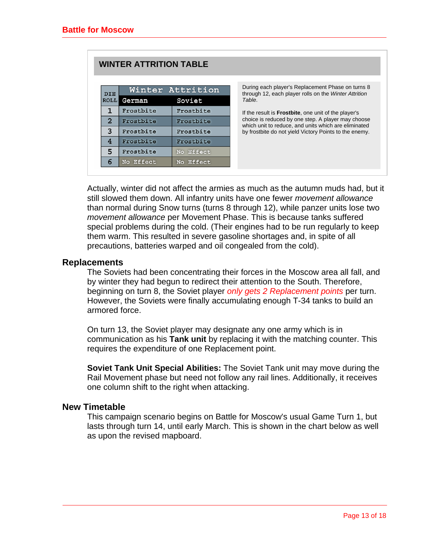<span id="page-12-0"></span>

|                | <b>WINTER ATTRITION TABLE</b> |                  |                                                                                                            |
|----------------|-------------------------------|------------------|------------------------------------------------------------------------------------------------------------|
| <b>DIE</b>     |                               | Winter Attrition | During each player's Replacement Phase on turns 8<br>through 12, each player rolls on the Winter Attrition |
| <b>ROLL</b>    | German                        | Soviet           | Table.                                                                                                     |
|                | Frostbite                     | Frostbite        | If the result is <b>Frostbite</b> , one unit of the player's                                               |
| $\overline{2}$ | Frostbite                     | Frostbite        | choice is reduced by one step. A player may choose<br>which unit to reduce, and units which are eliminated |
| 3              | Frostbite                     | Frostbite        | by frostbite do not yield Victory Points to the enemy.                                                     |
| 4              | Frostbite                     | Frostbite        |                                                                                                            |
| 5              | Frostbite                     | No Effect        |                                                                                                            |
| 6              | No Effect                     | No Effect        |                                                                                                            |

Actually, winter did not affect the armies as much as the autumn muds had, but it still slowed them down. All infantry units have one fewer *movement allowance* than normal during Snow turns (turns 8 through 12), while panzer units lose two *movement allowance* per Movement Phase. This is because tanks suffered special problems during the cold. (Their engines had to be run regularly to keep them warm. This resulted in severe gasoline shortages and, in spite of all precautions, batteries warped and oil congealed from the cold).

### **Replacements**

The Soviets had been concentrating their forces in the Moscow area all fall, and by winter they had begun to redirect their attention to the South. Therefore, beginning on turn 8, the Soviet player *only gets 2 Replacement points* per turn. However, the Soviets were finally accumulating enough T-34 tanks to build an armored force.

On turn 13, the Soviet player may designate any one army which is in communication as his **Tank unit** by replacing it with the matching counter. This requires the expenditure of one Replacement point.

**Soviet Tank Unit Special Abilities:** The Soviet Tank unit may move during the Rail Movement phase but need not follow any rail lines. Additionally, it receives one column shift to the right when attacking.

### **New Timetable**

This campaign scenario begins on Battle for Moscow's usual Game Turn 1, but lasts through turn 14, until early March. This is shown in the chart below as well as upon the revised mapboard.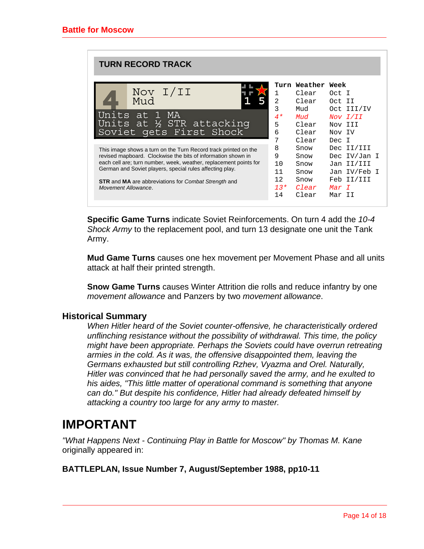<span id="page-13-0"></span>

| <b>TURN RECORD TRACK</b>                                                                                                                                                                                                                                                                                                                                                                                                                                    |                                                                                             |                                                                                                                                        |                                                                                                                                                                      |
|-------------------------------------------------------------------------------------------------------------------------------------------------------------------------------------------------------------------------------------------------------------------------------------------------------------------------------------------------------------------------------------------------------------------------------------------------------------|---------------------------------------------------------------------------------------------|----------------------------------------------------------------------------------------------------------------------------------------|----------------------------------------------------------------------------------------------------------------------------------------------------------------------|
| Nov I/II<br>Mud<br>Units at 1<br><b>MA</b><br>Units at ½ STR attacking<br>Soviet gets First Shock<br>This image shows a turn on the Turn Record track printed on the<br>revised mapboard. Clockwise the bits of information shown in<br>each cell are; turn number, week, weather, replacement points for<br>German and Soviet players, special rules affecting play.<br><b>STR</b> and MA are abbreviations for Combat Strength and<br>Movement Allowance. | 1<br>$\overline{2}$<br>3<br>$4*$<br>5<br>6<br>7<br>8<br>9<br>10<br>11<br>12.<br>$13*$<br>14 | Turn Weather Week<br>Clear<br>Clear<br>Mud<br>Mud<br>Clear<br>Clear<br>Clear<br>Snow<br>Snow<br>Snow<br>Snow<br>Snow<br>Clear<br>Clear | Oct I<br>Oct II<br>Oct III/IV<br>Nov I/II<br>Nov III<br>Nov IV<br>Dec I<br>Dec II/III<br>Dec IV/Jan I<br>Jan II/III<br>Jan IV/Feb I<br>Feb II/III<br>Mar T<br>Mar II |

**Specific Game Turns** indicate Soviet Reinforcements. On turn 4 add the *10-4 Shock Army* to the replacement pool, and turn 13 designate one unit the Tank Army.

**Mud Game Turns** causes one hex movement per Movement Phase and all units attack at half their printed strength.

**Snow Game Turns** causes Winter Attrition die rolls and reduce infantry by one *movement allowance* and Panzers by two *movement allowance*.

### **Historical Summary**

*When Hitler heard of the Soviet counter-offensive, he characteristically ordered unflinching resistance without the possibility of withdrawal. This time, the policy might have been appropriate. Perhaps the Soviets could have overrun retreating armies in the cold. As it was, the offensive disappointed them, leaving the Germans exhausted but still controlling Rzhev, Vyazma and Orel. Naturally, Hitler was convinced that he had personally saved the army, and he exulted to his aides, "This little matter of operational command is something that anyone can do." But despite his confidence, Hitler had already defeated himself by attacking a country too large for any army to master.* 

### **IMPORTANT**

*"What Happens Next - Continuing Play in Battle for Moscow" by Thomas M. Kane* originally appeared in:

### **BATTLEPLAN, Issue Number 7, August/September 1988, pp10-11**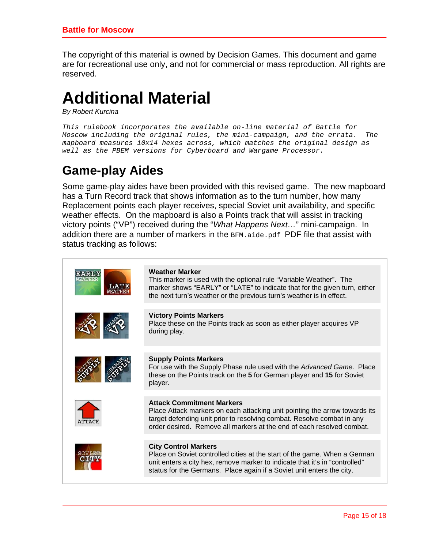<span id="page-14-0"></span>The copyright of this material is owned by Decision Games. This document and game are for recreational use only, and not for commercial or mass reproduction. All rights are reserved.

# **Additional Material**

*By Robert Kurcina* 

*This rulebook incorporates the available on-line material of Battle for Moscow including the original rules, the mini-campaign, and the errata. The mapboard measures 10x14 hexes across, which matches the original design as well as the PBEM versions for Cyberboard and Wargame Processor.* 

# **Game-play Aides**

Some game-play aides have been provided with this revised game. The new mapboard has a Turn Record track that shows information as to the turn number, how many Replacement points each player receives, special Soviet unit availability, and specific weather effects. On the mapboard is also a Points track that will assist in tracking victory points ("VP") received during the "*What Happens Next…*" mini-campaign. In addition there are a number of markers in the  $BFM$ . aide. pdf PDF file that assist with status tracking as follows:

| LATE          | <b>Weather Marker</b><br>This marker is used with the optional rule "Variable Weather". The<br>marker shows "EARLY" or "LATE" to indicate that for the given turn, either<br>the next turn's weather or the previous turn's weather is in effect.                 |
|---------------|-------------------------------------------------------------------------------------------------------------------------------------------------------------------------------------------------------------------------------------------------------------------|
|               | <b>Victory Points Markers</b><br>Place these on the Points track as soon as either player acquires VP<br>during play.                                                                                                                                             |
|               | <b>Supply Points Markers</b><br>For use with the Supply Phase rule used with the Advanced Game. Place<br>these on the Points track on the 5 for German player and 15 for Soviet<br>player.                                                                        |
| <b>ATTACK</b> | <b>Attack Commitment Markers</b><br>Place Attack markers on each attacking unit pointing the arrow towards its<br>target defending unit prior to resolving combat. Resolve combat in any<br>order desired. Remove all markers at the end of each resolved combat. |
|               | <b>City Control Markers</b><br>Place on Soviet controlled cities at the start of the game. When a German<br>unit enters a city hex, remove marker to indicate that it's in "controlled"<br>status for the Germans. Place again if a Soviet unit enters the city.  |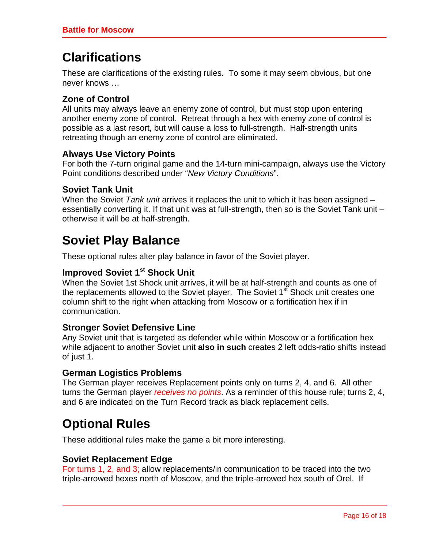# <span id="page-15-0"></span>**Clarifications**

These are clarifications of the existing rules. To some it may seem obvious, but one never knows …

### **Zone of Control**

All units may always leave an enemy zone of control, but must stop upon entering another enemy zone of control. Retreat through a hex with enemy zone of control is possible as a last resort, but will cause a loss to full-strength. Half-strength units retreating though an enemy zone of control are eliminated.

### **Always Use Victory Points**

For both the 7-turn original game and the 14-turn mini-campaign, always use the Victory Point conditions described under "*New Victory Conditions*".

### **Soviet Tank Unit**

When the Soviet *Tank unit* arrives it replaces the unit to which it has been assigned – essentially converting it. If that unit was at full-strength, then so is the Soviet Tank unit – otherwise it will be at half-strength.

## **Soviet Play Balance**

These optional rules alter play balance in favor of the Soviet player.

### **Improved Soviet 1st Shock Unit**

When the Soviet 1st Shock unit arrives, it will be at half-strength and counts as one of the replacements allowed to the Soviet player. The Soviet 1<sup>st</sup> Shock unit creates one column shift to the right when attacking from Moscow or a fortification hex if in communication.

### **Stronger Soviet Defensive Line**

Any Soviet unit that is targeted as defender while within Moscow or a fortification hex while adjacent to another Soviet unit **also in such** creates 2 left odds-ratio shifts instead of just 1.

### **German Logistics Problems**

The German player receives Replacement points only on turns 2, 4, and 6. All other turns the German player *receives no points*. As a reminder of this house rule; turns 2, 4, and 6 are indicated on the Turn Record track as black replacement cells.

## **Optional Rules**

These additional rules make the game a bit more interesting.

### **Soviet Replacement Edge**

For turns 1, 2, and 3; allow replacements/in communication to be traced into the two triple-arrowed hexes north of Moscow, and the triple-arrowed hex south of Orel. If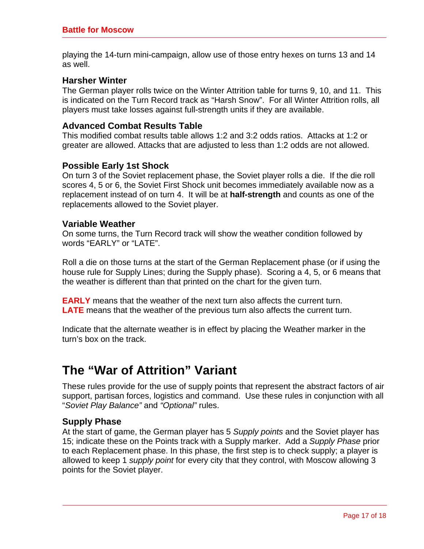<span id="page-16-0"></span>playing the 14-turn mini-campaign, allow use of those entry hexes on turns 13 and 14 as well.

### **Harsher Winter**

The German player rolls twice on the Winter Attrition table for turns 9, 10, and 11. This is indicated on the Turn Record track as "Harsh Snow". For all Winter Attrition rolls, all players must take losses against full-strength units if they are available.

### **Advanced Combat Results Table**

This modified combat results table allows 1:2 and 3:2 odds ratios. Attacks at 1:2 or greater are allowed. Attacks that are adjusted to less than 1:2 odds are not allowed.

### **Possible Early 1st Shock**

On turn 3 of the Soviet replacement phase, the Soviet player rolls a die. If the die roll scores 4, 5 or 6, the Soviet First Shock unit becomes immediately available now as a replacement instead of on turn 4. It will be at **half-strength** and counts as one of the replacements allowed to the Soviet player.

### **Variable Weather**

On some turns, the Turn Record track will show the weather condition followed by words "EARLY" or "LATE".

Roll a die on those turns at the start of the German Replacement phase (or if using the house rule for Supply Lines; during the Supply phase). Scoring a 4, 5, or 6 means that the weather is different than that printed on the chart for the given turn.

**EARLY** means that the weather of the next turn also affects the current turn. **LATE** means that the weather of the previous turn also affects the current turn.

Indicate that the alternate weather is in effect by placing the Weather marker in the turn's box on the track.

## **The "War of Attrition" Variant**

These rules provide for the use of supply points that represent the abstract factors of air support, partisan forces, logistics and command. Use these rules in conjunction with all "*Soviet Play Balance"* and *"Optional"* rules.

### **Supply Phase**

At the start of game, the German player has 5 *Supply points* and the Soviet player has 15; indicate these on the Points track with a Supply marker. Add a *Supply Phase* prior to each Replacement phase. In this phase, the first step is to check supply; a player is allowed to keep 1 *supply point* for every city that they control, with Moscow allowing 3 points for the Soviet player.